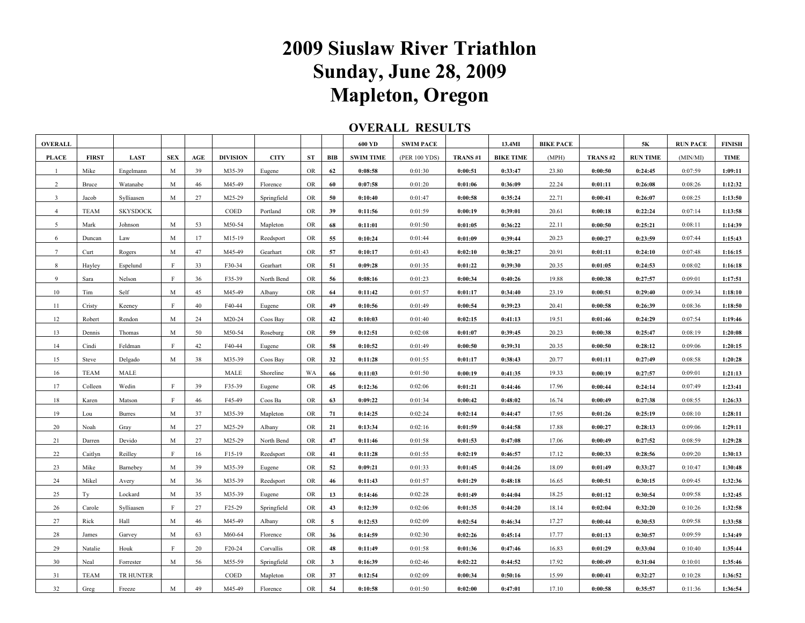## **2009 Siuslaw River Triathlon Sunday, June 28, 2009 Mapleton, Oregon**

## **OVERALL RESULTS**

| <b>OVERALL</b> |                      |                 |             |     |                     |             |           |              | 600 YD             | <b>SWIM PACE</b> | ------  | 13.4MI             | <b>BIKE PACE</b> |         | 5К                 | <b>RUN PACE</b> | <b>FINISH</b> |
|----------------|----------------------|-----------------|-------------|-----|---------------------|-------------|-----------|--------------|--------------------|------------------|---------|--------------------|------------------|---------|--------------------|-----------------|---------------|
| <b>PLACE</b>   | <b>FIRST</b>         | <b>LAST</b>     | <b>SEX</b>  | AGE | <b>DIVISION</b>     | <b>CITY</b> | ST        | BIB          | <b>SWIM TIME</b>   | (PER 100 YDS)    | TRANS#1 | <b>BIKE TIME</b>   | (MPH)            | TRANS#2 | <b>RUN TIME</b>    | (MIN/MI)        | <b>TIME</b>   |
| $\mathbf{1}$   | Mike                 | Engelmann       | M           | 39  | M35-39              | Eugene      | <b>OR</b> | 62           | 0:08:58            | 0:01:30          | 0:00:51 | 0:33:47            | 23.80            | 0:00:50 | 0:24:45            | 0:07:59         | 1:09:11       |
| $\overline{2}$ | Bruce                | Watanabe        | M           | 46  | M45-49              | Florence    | <b>OR</b> | 60           | 0:07:58            | 0:01:20          | 0:01:06 | 0:36:09            | 22.24            | 0:01:11 | 0:26:08            | 0:08:26         | 1:12:32       |
| $\overline{3}$ | Jacob                | Sylliaasen      | M           | 27  | M25-29              | Springfield | <b>OR</b> | 50           | 0:10:40            | 0:01:47          | 0:00:58 | 0:35:24            | 22.71            | 0:00:41 | 0:26:07            | 0:08:25         | 1:13:50       |
| $\overline{4}$ | <b>TEAM</b>          | <b>SKYSDOCK</b> |             |     | COED                | Portland    | OR        | 39           | 0:11:56            | 0:01:59          | 0:00:19 | 0:39:01            | 20.61            | 0:00:18 | 0:22:24            | 0:07:14         | 1:13:58       |
| 5              | Mark                 | Johnson         | M           | 53  | M50-54              | Mapleton    | <b>OR</b> | 68           | 0:11:01            | 0:01:50          | 0:01:05 | 0:36:22            | 22.11            | 0:00:50 | 0:25:21            | 0:08:11         | 1:14:39       |
| 6              | Duncan               | Law             | M           | 17  | M15-19              | Reedsport   | <b>OR</b> | 55           | 0:10:24            | 0:01:44          | 0:01:09 | 0:39:44            | 20.23            | 0:00:27 | 0:23:59            | 0:07:44         | 1:15:43       |
| $\tau$         | Curt                 | Rogers          | M           | 47  | M45-49              | Gearhart    | <b>OR</b> | 57           | 0:10:17            | 0:01:43          | 0:02:10 | 0:38:27            | 20.91            | 0:01:11 | 0:24:10            | 0:07:48         | 1:16:15       |
| 8              | Hayley               | Espelund        | F           | 33  | F30-34              | Gearhart    | <b>OR</b> | 51           | 0:09:28            | 0:01:35          | 0:01:22 | 0:39:30            | 20.35            | 0:01:05 | 0:24:53            | 0:08:02         | 1:16:18       |
| 9              | Sara                 | Nelson          | F           | 36  | F35-39              | North Bend  | OR        | 56           | 0:08:16            | 0:01:23          | 0:00:34 | 0:40:26            | 19.88            | 0:00:38 | 0:27:57            | 0:09:01         | 1:17:51       |
| 10             | Tim                  | Self            | M           | 45  | M45-49              | Albany      | OR        | 64           | 0:11:42            | 0:01:57          | 0:01:17 | 0:34:40            | 23.19            | 0:00:51 | 0:29:40            | 0:09:34         | 1:18:10       |
| 11             | Cristy               | Keeney          | F           | 40  | F40-44              | Eugene      | <b>OR</b> | 49           | 0:10:56            | 0:01:49          | 0:00:54 | 0:39:23            | 20.41            | 0:00:58 | 0:26:39            | 0:08:36         | 1:18:50       |
| 12             | Robert               | Rendon          | M           | 24  | M20-24              | Coos Bay    | OR        | 42           | 0:10:03            | 0:01:40          | 0:02:15 | 0:41:13            | 19.51            | 0:01:46 | 0:24:29            | 0:07:54         | 1:19:46       |
| 13             | Dennis               | Thomas          | M           | 50  | M50-54              | Roseburg    | <b>OR</b> | 59           | 0:12:51            | 0:02:08          | 0:01:07 | 0:39:45            | 20.23            | 0:00:38 | 0:25:47            | 0:08:19         | 1:20:08       |
| 14             | Cindi                | Feldman         | $\mathbf F$ | 42  | F40-44              | Eugene      | OR        | 58           |                    | 0:01:49          | 0:00:50 |                    | 20.35            | 0:00:50 |                    | 0:09:06         | 1:20:15       |
| 15             |                      |                 |             | 38  | M35-39              | Coos Bay    | OR        | 32           | 0:10:52<br>0:11:28 | 0:01:55          | 0:01:17 | 0:39:31<br>0:38:43 | 20.77            | 0:01:11 | 0:28:12<br>0:27:49 | 0:08:58         | 1:20:28       |
| 16             | Steve<br><b>TEAM</b> | Delgado<br>MALE | M           |     | MALE                | Shoreline   | WA        | 66           | 0:11:03            | 0:01:50          | 0:00:19 | 0:41:35            | 19.33            | 0:00:19 | 0:27:57            | 0:09:01         | 1:21:13       |
|                |                      |                 | $\mathbf F$ |     |                     |             |           |              |                    |                  |         |                    |                  |         |                    |                 |               |
| 17             | Colleen              | Wedin           |             | 39  | F35-39              | Eugene      | <b>OR</b> | 45           | 0:12:36            | 0:02:06          | 0:01:21 | 0:44:46            | 17.96            | 0:00:44 | 0:24:14            | 0:07:49         | 1:23:41       |
| 18             | Karen                | Matson          | F           | 46  | F45-49              | Coos Ba     | <b>OR</b> | 63           | 0:09:22            | 0:01:34          | 0:00:42 | 0:48:02            | 16.74            | 0:00:49 | 0:27:38            | 0:08:55         | 1:26:33       |
| 19             | Lou                  | <b>Burres</b>   | $\mathbf M$ | 37  | M35-39              | Mapleton    | <b>OR</b> | 71           | 0:14:25            | 0:02:24          | 0:02:14 | 0:44:47            | 17.95            | 0:01:26 | 0:25:19            | 0:08:10         | 1:28:11       |
| 20             | Noah                 | Gray            | M           | 27  | M25-29              | Albany      | OR        | 21           | 0:13:34            | 0:02:16          | 0:01:59 | 0:44:58            | 17.88            | 0:00:27 | 0:28:13            | 0:09:06         | 1:29:11       |
| 21             | Darren               | Devido          | M           | 27  | M25-29              | North Bend  | <b>OR</b> | 47           | 0:11:46            | 0:01:58          | 0:01:53 | 0:47:08            | 17.06            | 0:00:49 | 0:27:52            | 0:08:59         | 1:29:28       |
| 22             | Caitlyn              | Reilley         | $\mathbf F$ | 16  | F15-19              | Reedsport   | OR        | 41           | 0:11:28            | 0:01:55          | 0:02:19 | 0:46:57            | 17.12            | 0:00:33 | 0:28:56            | 0:09:20         | 1:30:13       |
| 23             | Mike                 | Barnebey        | M           | 39  | M35-39              | Eugene      | OR        | 52           | 0:09:21            | 0:01:33          | 0:01:45 | 0:44:26            | 18.09            | 0:01:49 | 0:33:27            | 0:10:47         | 1:30:48       |
| 24             | Mikel                | Avery           | M           | 36  | M35-39              | Reedsport   | <b>OR</b> | 46           | 0:11:43            | 0:01:57          | 0:01:29 | 0:48:18            | 16.65            | 0:00:51 | 0:30:15            | 0:09:45         | 1:32:36       |
| 25             | Ty                   | Lockard         | M           | 35  | M35-39              | Eugene      | <b>OR</b> | 13           | 0:14:46            | 0:02:28          | 0:01:49 | 0:44:04            | 18.25            | 0:01:12 | 0:30:54            | 0:09:58         | 1:32:45       |
| 26             | Carole               | Sylliaasen      | F           | 27  | F <sub>25</sub> -29 | Springfield | OR        | 43           | 0:12:39            | 0:02:06          | 0:01:35 | 0:44:20            | 18.14            | 0:02:04 | 0:32:20            | 0:10:26         | 1:32:58       |
| 27             | Rick                 | Hall            | M           | 46  | M45-49              | Albany      | <b>OR</b> | 5            | 0:12:53            | 0:02:09          | 0:02:54 | 0:46:34            | 17.27            | 0:00:44 | 0:30:53            | 0:09:58         | 1:33:58       |
| 28             | James                | Garvey          | M           | 63  | M60-64              | Florence    | OR        | 36           | 0:14:59            | 0:02:30          | 0:02:26 | 0:45:14            | 17.77            | 0:01:13 | 0:30:57            | 0:09:59         | 1:34:49       |
| 29             | Natalie              | Houk            | F           | 20  | F20-24              | Corvallis   | <b>OR</b> | 48           | 0:11:49            | 0:01:58          | 0:01:36 | 0:47:46            | 16.83            | 0:01:29 | 0:33:04            | 0:10:40         | 1:35:44       |
| 30             | Neal                 | Forrester       | M           | 56  | M55-59              | Springfield | <b>OR</b> | $\mathbf{3}$ | 0:16:39            | 0:02:46          | 0:02:22 | 0:44:52            | 17.92            | 0:00:49 | 0:31:04            | 0:10:01         | 1:35:46       |
| 31             | <b>TEAM</b>          | TR HUNTER       |             |     | COED                | Mapleton    | OR        | 37           | 0:12:54            | 0:02:09          | 0:00:34 | 0:50:16            | 15.99            | 0:00:41 | 0:32:27            | 0:10:28         | 1:36:52       |
| 32             | Greg                 | Freeze          | M           | 49  | M45-49              | Florence    | OR        | 54           | 0:10:58            | 0:01:50          | 0:02:00 | 0:47:01            | 17.10            | 0:00:58 | 0:35:57            | 0:11:36         | 1:36:54       |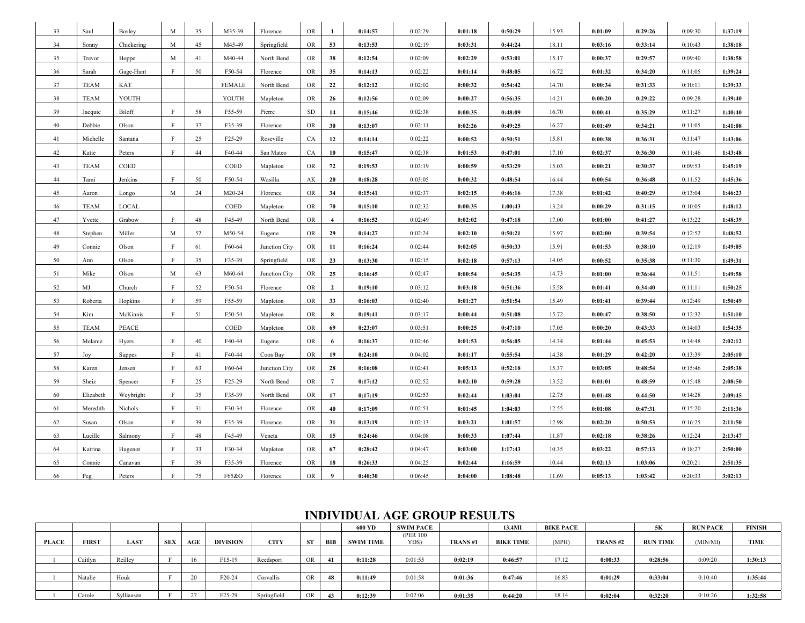| 33 | Saul        | Bosley        | M            | 35 | M35-39        | Florence      | <b>OR</b>  | 1                | 0:14:57 | 0:02:29 | 0:01:18 | 0:50:29 | 15.93 | 0:01:09 | 0:29:26 | 0:09:30 | 1:37:19 |
|----|-------------|---------------|--------------|----|---------------|---------------|------------|------------------|---------|---------|---------|---------|-------|---------|---------|---------|---------|
| 34 | Sonny       | Chickering    | M            | 45 | M45-49        | Springfield   | <b>OR</b>  | 53               | 0:13:53 | 0:02:19 | 0:03:31 | 0:44:24 | 18.11 | 0:03:16 | 0:33:14 | 0:10:43 | 1:38:18 |
| 35 | Trevor      | Hoppe         | M            | 41 | M40-44        | North Bend    | <b>OR</b>  | 38               | 0:12:54 | 0:02:09 | 0:02:29 | 0:53:01 | 15.17 | 0:00:37 | 0:29:57 | 0:09:40 | 1:38:58 |
| 36 | Sarah       | Gage-Hunt     | F            | 50 | F50-54        | Florence      | <b>OR</b>  | 35               | 0:14:13 | 0:02:22 | 0:01:14 | 0:48:05 | 16.72 | 0:01:32 | 0:34:20 | 0:11:05 | 1:39:24 |
| 37 | <b>TEAM</b> | KAT           |              |    | <b>FEMALE</b> | North Bend    | <b>OR</b>  | 22               | 0:12:12 | 0:02:02 | 0:00:32 | 0:54:42 | 14.70 | 0:00:34 | 0:31:33 | 0:10:11 | 1:39:33 |
| 38 | <b>TEAM</b> | YOUTH         |              |    | YOUTH         | Mapleton      | <b>OR</b>  | 26               | 0:12:56 | 0:02:09 | 0:00:27 | 0:56:35 | 14.21 | 0:00:20 | 0:29:22 | 0:09:28 | 1:39:40 |
| 39 | Jacquie     | Biloff        | $\mathbf{F}$ | 58 | F55-59        | Pierre        | ${\rm SD}$ | 14               | 0:15:46 | 0:02:38 | 0:00:35 | 0:48:09 | 16.70 | 0:00:41 | 0:35:29 | 0:11:27 | 1:40:40 |
| 40 | Debbie      | Olson         | F            | 37 | F35-39        | Florence      | <b>OR</b>  | 30               | 0:13:07 | 0:02:11 | 0:02:26 | 0:49:25 | 16.27 | 0:01:49 | 0:34:21 | 0:11:05 | 1:41:08 |
| 41 | Michelle    | Santana       | $\mathbf{F}$ | 25 | F25-29        | Roseville     | CA         | 12               | 0:14:14 | 0:02:22 | 0:00:52 | 0:50:51 | 15.81 | 0:00:38 | 0:36:31 | 0:11:47 | 1:43:06 |
| 42 | Katie       | Peters        | $\mathbf{F}$ | 44 | F40-44        | San Mateo     | CA         | 10               | 0:15:47 | 0:02:38 | 0:01:53 | 0:47:01 | 17.10 | 0:02:37 | 0:36:30 | 0:11:46 | 1:43:48 |
| 43 | <b>TEAM</b> | COED          |              |    | COED          | Mapleton      | <b>OR</b>  | 72               | 0:19:53 | 0:03:19 | 0:00:59 | 0:53:29 | 15.03 | 0:00:21 | 0:30:37 | 0:09:53 | 1:45:19 |
| 44 | Tami        | Jenkins       | $\,$ F       | 50 | F50-54        | Wasilla       | AK         | 20               | 0:18:28 | 0:03:05 | 0:00:32 | 0:48:54 | 16.44 | 0:00:54 | 0:36:48 | 0:11:52 | 1:45:36 |
| 45 | Aaron       | Longo         | M            | 24 | M20-24        | Florence      | <b>OR</b>  | 34               | 0:15:41 | 0:02:37 | 0:02:15 | 0:46:16 | 17.38 | 0:01:42 | 0:40:29 | 0:13:04 | 1:46:23 |
| 46 | <b>TEAM</b> | LOCAL         |              |    | COED          | Mapleton      | <b>OR</b>  | 70               | 0:15:10 | 0:02:32 | 0:00:35 | 1:00:43 | 13.24 | 0:00:29 | 0:31:15 | 0:10:05 | 1:48:12 |
| 47 | Yvette      | Grabow        | $\mathbf{F}$ | 48 | F45-49        | North Bend    | <b>OR</b>  | $\overline{4}$   | 0:16:52 | 0:02:49 | 0:02:02 | 0:47:18 | 17.00 | 0:01:00 | 0:41:27 | 0:13:22 | 1:48:39 |
| 48 | Stephen     | Miller        | M            | 52 | M50-54        | Eugene        | <b>OR</b>  | 29               | 0:14:27 | 0:02:24 | 0:02:10 | 0:50:21 | 15.97 | 0:02:00 | 0:39:54 | 0:12:52 | 1:48:52 |
| 49 | Connie      | Olson         | F            | 61 | F60-64        | Junction City | <b>OR</b>  | 11               | 0:16:24 | 0:02:44 | 0:02:05 | 0:50:33 | 15.91 | 0:01:53 | 0:38:10 | 0:12:19 | 1:49:05 |
| 50 | Ann         | Olson         | F            | 35 | F35-39        | Springfield   | OR         | 23               | 0:13:30 | 0:02:15 | 0:02:18 | 0:57:13 | 14.05 | 0:00:52 | 0:35:38 | 0:11:30 | 1:49:31 |
| 51 | Mike        | Olson         | M            | 63 | M60-64        | Junction City | <b>OR</b>  | 25               | 0:16:45 | 0:02:47 | 0:00:54 | 0:54:35 | 14.73 | 0:01:00 | 0:36:44 | 0:11:51 | 1:49:58 |
| 52 | MJ          | Church        | F            | 52 | F50-54        | Florence      | <b>OR</b>  | $\overline{2}$   | 0:19:10 | 0:03:12 | 0:03:18 | 0:51:36 | 15.58 | 0:01:41 | 0:34:40 | 0:11:11 | 1:50:25 |
| 53 | Roberta     | Hopkins       | F            | 59 | F55-59        | Mapleton      | OR         | 33               | 0:16:03 | 0:02:40 | 0:01:27 | 0:51:54 | 15.49 | 0:01:41 | 0:39:44 | 0:12:49 | 1:50:49 |
| 54 | Kim         | McKinnis      | F            | 51 | F50-54        | Mapleton      | <b>OR</b>  | 8                | 0:19:41 | 0:03:17 | 0:00:44 | 0:51:08 | 15.72 | 0:00:47 | 0:38:50 | 0:12:32 | 1:51:10 |
| 55 | TEAM        | PEACE         |              |    | COED          | Mapleton      | <b>OR</b>  | 69               | 0:23:07 | 0:03:51 | 0:00:25 | 0:47:10 | 17.05 | 0:00:20 | 0:43:33 | 0:14:03 | 1:54:35 |
| 56 | Melanie     | Hyers         | $\mathbf F$  | 40 | F40-44        | Eugene        | <b>OR</b>  | 6                | 0:16:37 | 0:02:46 | 0:01:53 | 0:56:05 | 14.34 | 0:01:44 | 0:45:53 | 0:14:48 | 2:02:12 |
| 57 | Joy         | <b>Suppes</b> | F            | 41 | F40-44        | Coos Bay      | <b>OR</b>  | 19               | 0:24:10 | 0:04:02 | 0:01:17 | 0:55:54 | 14.38 | 0:01:29 | 0:42:20 | 0:13:39 | 2:05:10 |
| 58 | Karen       | Jensen        | F            | 63 | F60-64        | Junction City | <b>OR</b>  | 28               | 0:16:08 | 0:02:41 | 0:05:13 | 0:52:18 | 15.37 | 0:03:05 | 0:48:54 | 0:15:46 | 2:05:38 |
| 59 | Sheiz       | Spencer       | $\mathbf{F}$ | 25 | F25-29        | North Bend    | <b>OR</b>  | $7\phantom{.0}$  | 0:17:12 | 0:02:52 | 0:02:10 | 0:59:28 | 13.52 | 0:01:01 | 0:48:59 | 0:15:48 | 2:08:50 |
| 60 | Elizabeth   | Weybright     | F            | 35 | F35-39        | North Bend    | OR         | 17               | 0:17:19 | 0:02:53 | 0:02:44 | 1:03:04 | 12.75 | 0:01:48 | 0:44:50 | 0:14:28 | 2:09:45 |
| 61 | Meredith    | Nichols       | F            | 31 | F30-34        | Florence      | OR         | 40               | 0:17:09 | 0:02:51 | 0:01:45 | 1:04:03 | 12.55 | 0:01:08 | 0:47:31 | 0:15:20 | 2:11:36 |
| 62 | Susan       | Olson         | F            | 39 | F35-39        | Florence      | <b>OR</b>  | 31               | 0:13:19 | 0:02:13 | 0:03:21 | 1:01:57 | 12.98 | 0:02:20 | 0:50:53 | 0:16:25 | 2:11:50 |
| 63 | Lucille     | Salmony       | $\,$ F       | 48 | F45-49        | Veneta        | <b>OR</b>  | 15               | 0:24:46 | 0:04:08 | 0:00:33 | 1:07:44 | 11.87 | 0:02:18 | 0:38:26 | 0:12:24 | 2:13:47 |
| 64 | Katrina     | Hugenot       | F            | 33 | F30-34        | Mapleton      | OR         | 67               | 0:28:42 | 0:04:47 | 0:03:00 | 1:17:43 | 10.35 | 0:03:22 | 0:57:13 | 0:18:27 | 2:50:00 |
| 65 | Connie      | Canavan       | F            | 39 | F35-39        | Florence      | <b>OR</b>  | 18               | 0:26:33 | 0:04:25 | 0:02:44 | 1:16:59 | 10.44 | 0:02:13 | 1:03:06 | 0:20:21 | 2:51:35 |
| 66 | Peg         | Peters        | F            | 75 | F65&O         | Florence      | <b>OR</b>  | $\boldsymbol{9}$ | 0:40:30 | 0:06:45 | 0:04:00 | 1:08:48 | 11.69 | 0:05:13 | 1:03:42 | 0:20:33 | 3:02:13 |

## **INDIVIDUAL AGE GROUP RESULTS**

|       |              |             |            |     |                     |             |           |     | 600 YD           | SWIM PACE         |         | 13.4MI           | <b>BIKE PACE</b> |         | 5Κ              | <b>RUN PACE</b> | <b>FINISH</b> |
|-------|--------------|-------------|------------|-----|---------------------|-------------|-----------|-----|------------------|-------------------|---------|------------------|------------------|---------|-----------------|-----------------|---------------|
| PLACE | <b>FIRST</b> | <b>LAST</b> | <b>SEX</b> | AGE | <b>DIVISION</b>     | <b>CITY</b> | <b>ST</b> | BIB | <b>SWIM TIME</b> | (PER 100)<br>YDS) | TRANS#1 | <b>BIKE TIME</b> | (MPH)            | TRANS#2 | <b>RUN TIME</b> | (MIN/MI)        | TIME          |
|       |              |             |            |     |                     |             |           |     |                  |                   |         |                  |                  |         |                 |                 |               |
|       | Caitlyn      | Reilley     |            | 16  | F15-19              | Reedsport   | OR        |     | 0:11:28          | 0:01:55           | 0:02:19 | 0:46:57          | 17.12            | 0:00:33 | 0:28:56         | 0:09:20         | 1:30:13       |
|       |              |             |            |     |                     |             |           |     |                  |                   |         |                  |                  |         |                 |                 |               |
|       | Natalie      | Houk        |            | 20  | F20-24              | Corvallis   | OR        | 48  | 0:11:49          | 0:01:58           | 0:01:36 | 0:47:46          | 16.83            | 0:01:29 | 0:33:04         | 0:10:40         | 1:35:44       |
|       |              |             |            |     |                     |             |           |     |                  |                   |         |                  |                  |         |                 |                 |               |
|       | Carole       | Sylliaasen  |            | 27  | F <sub>25</sub> -29 | Springfield | OR        | 43  | 0:12:39          | 0:02:06           | 0:01:35 | 0:44:20          | 18.14            | 0:02:04 | 0:32:20         | 0:10:26         | 1:32:58       |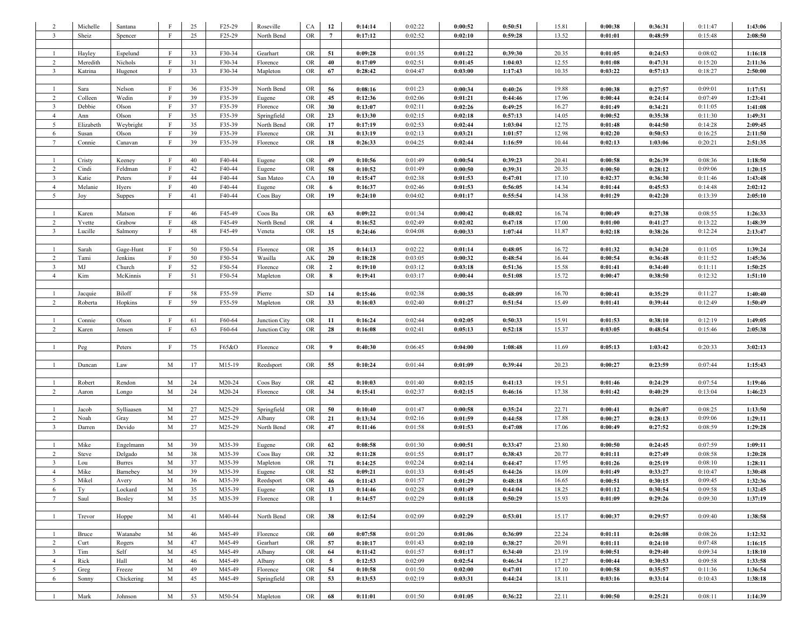| $\overline{2}$                   | Michelle     | Santana        | F            | 25       | F25-29           | Roseville          | CA         | 12                  | 0:14:14            | 0:02:22            | 0:00:52            | 0:50:51            | 15.81 | 0:00:38            | 0:36:31            | 0:11:47 | 1:43:06            |
|----------------------------------|--------------|----------------|--------------|----------|------------------|--------------------|------------|---------------------|--------------------|--------------------|--------------------|--------------------|-------|--------------------|--------------------|---------|--------------------|
| $\mathbf{3}$                     | Sheiz        | Spencer        | F            | 25       | F25-29           | North Bend         | <b>OR</b>  | $\overline{7}$      | 0:17:12            | 0:02:52            | 0:02:10            | 0:59:28            | 13.52 | 0:01:01            | 0:48:59            | 0:15:48 | 2:08:50            |
|                                  |              |                |              |          |                  |                    |            |                     |                    |                    |                    |                    |       |                    |                    |         |                    |
| $\mathbf{1}$                     | Hayley       | Espelund       | $\mathbf{F}$ | 33       | F30-34           | Gearhart           | <b>OR</b>  | 51                  | 0:09:28            | 0:01:35            | 0:01:22            | 0:39:30            | 20.35 | 0:01:05            | 0:24:53            | 0:08:02 | 1:16:18            |
| $\overline{2}$                   | Meredith     | Nichols        | $\mathbf{F}$ | 31       | F30-34           | Florence           | <b>OR</b>  | 40                  | 0:17:09            | 0:02:51            | 0:01:45            | 1:04:03            | 12.55 | 0:01:08            | 0:47:31            | 0:15:20 | 2:11:36            |
| $\overline{\mathbf{3}}$          | Katrina      | Hugenot        | $\,$ F       | 33       | F30-34           | Mapleton           | OR         | 67                  | 0:28:42            | 0:04:47            | 0:03:00            | 1:17:43            | 10.35 | 0:03:22            | 0:57:13            | 0:18:27 | 2:50:00            |
|                                  |              |                |              |          |                  |                    |            |                     |                    |                    |                    |                    |       |                    |                    |         |                    |
| $\mathbf{1}$                     | Sara         | Nelson         | F            | 36       | F35-39           | North Bend         | <b>OR</b>  | 56                  | 0:08:16            | 0:01:23            | 0:00:34            | 0:40:26            | 19.88 | 0:00:38            | 0:27:57            | 0:09:01 | 1:17:51            |
| $\overline{2}$                   | Colleen      | Wedin          | F            | 39       | F35-39           | Eugene             | OR         | 45                  | 0:12:36            | 0:02:06            | 0:01:21            | 0:44:46            | 17.96 | 0:00:44            | 0:24:14            | 0:07:49 | 1:23:41            |
| $\overline{3}$                   | Debbie       | Olson          | F            | 37       | F35-39           | Florence           | <b>OR</b>  | 30                  | 0:13:07            | 0:02:11            | 0:02:26            | 0:49:25            | 16.27 | 0:01:49            | 0:34:21            | 0:11:05 | 1:41:08            |
| $\overline{4}$                   | Ann          | Olson          | F            | 35       | F35-39           | Springfield        | OR         | 23                  | 0:13:30            | 0:02:15            | 0:02:18            | 0:57:13            | 14.05 | 0:00:52            | 0:35:38            | 0:11:30 | 1:49:31            |
| 5                                | Elizabeth    | Weybright      |              | 35       | F35-39           | North Bend         | <b>OR</b>  | 17                  | 0:17:19            | 0:02:53            | 0:02:44            | 1:03:04            | 12.75 | 0:01:48            | 0:44:50            | 0:14:28 | 2:09:45            |
| 6                                | Susan        | Olson          | F            | 39       | F35-39           | Florence           | <b>OR</b>  | 31                  | 0:13:19            | 0:02:13            | 0:03:21            | 1:01:57            | 12.98 | 0:02:20            | 0:50:53            | 0:16:25 | 2:11:50            |
| $7\phantom{.0}$                  | Connie       | Canavan        |              | 39       | F35-39           | Florence           | OR         | 18                  | 0:26:33            | 0:04:25            | 0:02:44            | 1:16:59            | 10.44 | 0:02:13            | 1:03:06            | 0:20:21 | 2:51:35            |
|                                  |              |                |              |          |                  |                    |            |                     |                    |                    |                    |                    |       |                    |                    |         |                    |
| $\mathbf{1}$                     | Cristy       | Keeney         | $\mathbf{F}$ | 40       | F40-44           | Eugene             | <b>OR</b>  | 49                  | 0:10:56            | 0:01:49            | 0:00:54            | 0:39:23            | 20.41 | 0:00:58            | 0:26:39            | 0:08:36 | 1:18:50            |
| 2                                | Cindi        | Feldman        | $\mathbf{F}$ | 42       | F40-44           | Eugene             | <b>OR</b>  | 58                  | 0:10:52            | 0:01:49            | 0:00:50            | 0:39:31            | 20.35 | 0:00:50            | 0:28:12            | 0:09:06 | 1:20:15            |
| $\overline{\mathbf{3}}$          | Katie        | Peters         | $\mathbf{F}$ | 44       | F40-44           | San Mateo          | CA         | 10                  | 0:15:47            | 0:02:38            | 0:01:53            | 0:47:01            | 17.10 | 0:02:37            | 0:36:30            | 0:11:46 | 1:43:48            |
| $\overline{4}$                   | Melanie      | Hyers          | $\mathbf{F}$ | 40       | F40-44           | Eugene             | <b>OR</b>  | 6                   | 0:16:37            | 0:02:46            | 0:01:53            | 0:56:05            | 14.34 | 0:01:44            | 0:45:53            | 0:14:48 | 2:02:12            |
| $5\overline{)}$                  | Joy          | Suppes         | $\mathbf{F}$ | 41       | F40-44           | Coos Bay           | OR         | 19                  | 0:24:10            | 0:04:02            | 0:01:17            | 0:55:54            | 14.38 | 0:01:29            | 0:42:20            | 0:13:39 | 2:05:10            |
|                                  |              |                |              |          |                  |                    |            |                     |                    |                    |                    |                    |       |                    |                    |         |                    |
| $\mathbf{1}$                     | Karen        | Matson         | $\mathbf{F}$ | 46       | F45-49           | Coos Ba            | <b>OR</b>  | 63                  | 0:09:22            | 0:01:34            | 0:00:42            | 0:48:02            | 16.74 | 0:00:49            | 0:27:38            | 0:08:55 | 1:26:33            |
| 2                                | Yvette       | Grabow         | F            | 48       | F45-49           | North Bend         | OR         | $\overline{4}$      | 0:16:52            | 0:02:49            | 0:02:02            | 0:47:18            | 17.00 | 0:01:00            | 0:41:27            | 0:13:22 | 1:48:39            |
| $\overline{\mathbf{3}}$          | Lucille      | Salmony        | F            | 48       | F45-49           | Veneta             | OR         | 15                  | 0:24:46            | 0:04:08            | 0:00:33            | 1:07:44            | 11.87 | 0:02:18            | 0:38:26            | 0:12:24 | 2:13:47            |
|                                  |              |                | F            |          |                  |                    |            |                     |                    |                    |                    |                    |       |                    |                    |         |                    |
|                                  | Sarah        | Gage-Hunt      |              | 50       | F50-54           | Florence           | OR         | 35                  | 0:14:13            | 0:02:22            | 0:01:14            | 0:48:05            | 16.72 | 0:01:32            | 0:34:20            | 0:11:05 | 1:39:24            |
| $\overline{2}$                   | Tami         | Jenkins        | F<br>F       | 50       | F50-54           | Wasilla            | AK         | 20                  | 0:18:28            | 0:03:05            | 0:00:32            | 0:48:54            | 16.44 | 0:00:54            | 0:36:48            | 0:11:52 | 1:45:36            |
| $\overline{3}$<br>$\overline{4}$ | MJ<br>Kim    | Church         | $\mathbf{F}$ | 52<br>51 | F50-54           | Florence           | <b>OR</b>  | $\overline{2}$<br>8 | 0:19:10            | 0:03:12            | 0:03:18<br>0:00:44 | 0:51:36            | 15.58 | 0:01:41            | 0:34:40            | 0:11:11 | 1:50:25            |
|                                  |              | McKinnis       |              |          | F50-54           | Mapleton           | OR         |                     | 0:19:41            | 0:03:17            |                    | 0:51:08            | 15.72 | 0:00:47            | 0:38:50            | 0:12:32 | 1:51:10            |
| $\mathbf{1}$                     | Jacquie      | Biloff         | $\mathbf{F}$ | 58       | F55-59           | Pierre             | ${\rm SD}$ | 14                  | 0:15:46            | 0:02:38            | 0:00:35            | 0:48:09            | 16.70 | 0:00:41            | 0:35:29            | 0:11:27 | 1:40:40            |
| 2                                | Roberta      | Hopkins        | F            | 59       | F55-59           | Mapleton           | OR         | 33                  | 0:16:03            | 0:02:40            | 0:01:27            | 0:51:54            | 15.49 | 0:01:41            | 0:39:44            | 0:12:49 | 1:50:49            |
|                                  |              |                |              |          |                  |                    |            |                     |                    |                    |                    |                    |       |                    |                    |         |                    |
| $\overline{1}$                   | Connie       | Olson          | F            | 61       | F60-64           | Junction City      | <b>OR</b>  | 11                  | 0:16:24            | 0:02:44            | 0:02:05            | 0:50:33            | 15.91 | 0:01:53            | 0:38:10            | 0:12:19 | 1:49:05            |
| $\overline{2}$                   | Karen        | Jensen         | $\rm F$      | 63       | F60-64           | Junction City      | OR         | 28                  | 0:16:08            | 0:02:41            | 0:05:13            | 0:52:18            | 15.37 | 0:03:05            | 0:48:54            | 0:15:46 | 2:05:38            |
|                                  |              |                |              |          |                  |                    |            |                     |                    |                    |                    |                    |       |                    |                    |         |                    |
| $\mathbf{1}$                     | Peg          | Peters         | F            | 75       | F65&O            | Florence           | <b>OR</b>  | 9                   | 0:40:30            | 0:06:45            | 0:04:00            | 1:08:48            | 11.69 | 0:05:13            | 1:03:42            | 0:20:33 | 3:02:13            |
|                                  |              |                |              |          |                  |                    |            |                     |                    |                    |                    |                    |       |                    |                    |         |                    |
| -1                               | Duncan       | Law            | M            | 17       | M15-19           | Reedsport          | OR         | 55                  | 0:10:24            | 0:01:44            | 0:01:09            | 0:39:44            | 20.23 | 0:00:27            | 0:23:59            | 0:07:44 | 1:15:43            |
|                                  |              |                |              |          |                  |                    |            |                     |                    |                    |                    |                    |       |                    |                    |         |                    |
| $\mathbf{1}$                     | Robert       | Rendon         | M            | 24       | M20-24           | Coos Bay           | OR         | 42                  | 0:10:03            | 0:01:40            | 0:02:15            | 0:41:13            | 19.51 | 0:01:46            | 0:24:29            | 0:07:54 | 1:19:46            |
| 2                                | Aaron        | Longo          | M            | 24       | M20-24           | Florence           | OR         | 34                  | 0:15:41            | 0:02:37            | 0:02:15            | 0:46:16            | 17.38 | 0:01:42            | 0:40:29            | 0:13:04 | 1:46:23            |
|                                  |              |                |              |          |                  |                    |            |                     |                    |                    |                    |                    |       |                    |                    |         |                    |
| $\mathbf{1}$                     | Jacob        | Sylliaasen     | M            | 27       | M25-29           | Springfield        | OR         | 50                  | 0:10:40            | 0:01:47            | 0:00:58            | 0:35:24            | 22.71 | 0:00:41            | 0:26:07            | 0:08:25 | 1:13:50            |
| 2                                | Noah         | Gray           | M            | 27       | M25-29           | Albany             | <b>OR</b>  | 21                  | 0:13:34            | 0:02:16            | 0:01:59            | 0:44:58            | 17.88 | 0:00:27            | 0:28:13            | 0:09:06 | 1:29:11            |
| $\overline{3}$                   | Darren       | Devido         | M            | 27       | M25-29           | North Bend         | <b>OR</b>  | 47                  | 0:11:46            | 0:01:58            | 0:01:53            | 0:47:08            | 17.06 | 0:00:49            | 0:27:52            | 0:08:59 | 1:29:28            |
|                                  |              |                |              |          |                  |                    |            |                     |                    |                    |                    |                    |       |                    |                    |         |                    |
| -1                               | Mike         | Engelmann      | M            | 39       | M35-39           | Eugene             | OR         | 62                  | 0:08:58            | 0:01:30            | 0:00:51            | 0:33:47            | 23.80 | 0:00:50            | 0:24:45            | 0:07:59 | 1:09:11            |
| $\overline{2}$                   | <b>Steve</b> | Delgado        | M            | 38       | M35-39           | Coos Bay           | <b>OR</b>  | 32                  | 0:11:28            | 0:01:55            | 0:01:17            | 0:38:43            | 20.77 | 0:01:11            | 0:27:49            | 0:08:58 | 1:20:28            |
| $\overline{3}$                   | Lou          | <b>Burres</b>  | M            | 37       | M35-39           | Mapleton           | <b>OR</b>  | 71                  | 0:14:25            | 0:02:24            | 0:02:14            | 0:44:47            | 17.95 | 0:01:26            | 0:25:19            | 0:08:10 | 1:28:11            |
| $\overline{4}$                   | Mike         | Barnebey       | M            | 39       | M35-39           | Eugene             | OR         | 52                  | 0:09:21            | 0:01:33            | 0:01:45            | 0:44:26            | 18.09 | 0:01:49            | 0:33:27            | 0:10:47 | 1:30:48            |
| 5                                | Mikel        | Avery          | M            | 36       | M35-39           | Reedsport          | OR         | 46                  | 0:11:43            | 0:01:57            | 0:01:29            | 0:48:18            | 16.65 | 0:00:51            | 0:30:15            | 0:09:45 | 1:32:36            |
| 6                                | Ty           | Lockard        | M            | 35       | M35-39           | Eugene             | ${\rm OR}$ | 13                  | 0:14:46            | 0:02:28            | 0:01:49            | 0:44:04            | 18.25 | 0:01:12            | 0:30:54            | 0:09:58 | 1:32:45            |
| $7\phantom{.0}$                  | Saul         | Bosley         | M            | 35       | M35-39           | Florence           | ${\rm OR}$ | $\mathbf{1}$        | 0:14:57            | 0:02:29            | 0:01:18            | 0:50:29            | 15.93 | 0:01:09            | 0:29:26            | 0:09:30 | 1:37:19            |
|                                  |              |                |              |          |                  |                    |            |                     |                    |                    |                    |                    |       |                    |                    |         |                    |
| $\mathbf{1}$                     | Trevor       | Hoppe          | M            | 41       | M40-44           | North Bend         | OR         | 38                  | 0:12:54            | 0:02:09            | 0:02:29            | 0:53:01            | 15.17 | 0:00:37            | 0:29:57            | 0:09:40 | 1:38:58            |
| $\overline{1}$                   |              |                |              | 46       |                  |                    |            | 60                  |                    |                    |                    |                    | 22.24 |                    |                    | 0:08:26 | 1:12:32            |
| $\overline{2}$                   | Bruce        | Watanabe       | M<br>M       | 47       | M45-49<br>M45-49 | Florence           | OR<br>OR   | 57                  | 0:07:58<br>0:10:17 | 0:01:20<br>0:01:43 | 0:01:06<br>0:02:10 | 0:36:09<br>0:38:27 | 20.91 | 0:01:11            | 0:26:08<br>0:24:10 | 0:07:48 |                    |
| $\overline{\mathbf{3}}$          | Curt<br>Tim  | Rogers<br>Self | M            | 45       | M45-49           | Gearhart<br>Albany | OR         | 64                  | 0:11:42            | 0:01:57            | 0:01:17            | 0:34:40            | 23.19 | 0:01:11<br>0:00:51 | 0:29:40            | 0:09:34 | 1:16:15<br>1:18:10 |
| $\overline{4}$                   | Rick         | Hall           | M            | 46       | M45-49           | Albany             | OR         | 5 <sup>5</sup>      | 0:12:53            | 0:02:09            | 0:02:54            | 0:46:34            | 17.27 | 0:00:44            | 0:30:53            | 0:09:58 | 1:33:58            |
| 5                                | Greg         | Freeze         | M            | 49       | M45-49           | Florence           | OR         | 54                  | 0:10:58            | 0:01:50            | 0:02:00            | 0:47:01            | 17.10 | 0:00:58            | 0:35:57            | 0:11:36 | 1:36:54            |
| 6                                | Sonny        | Chickering     | M            | 45       | M45-49           | Springfield        | OR         | 53                  | 0:13:53            | 0:02:19            | 0:03:31            | 0:44:24            | 18.11 | 0:03:16            | 0:33:14            | 0:10:43 | 1:38:18            |
|                                  |              |                |              |          |                  |                    |            |                     |                    |                    |                    |                    |       |                    |                    |         |                    |
| $\mathbf{1}$                     | Mark         | Johnson        | M            | 53       | M50-54           | Mapleton           | <b>OR</b>  | 68                  | 0:11:01            | 0:01:50            | 0:01:05            | 0:36:22            | 22.11 | 0:00:50            | 0:25:21            | 0:08:11 | 1:14:39            |
|                                  |              |                |              |          |                  |                    |            |                     |                    |                    |                    |                    |       |                    |                    |         |                    |